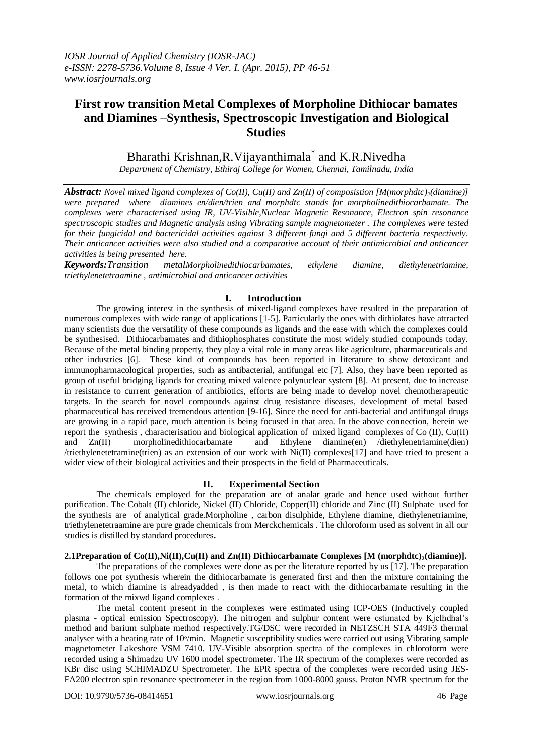# **First row transition Metal Complexes of Morpholine Dithiocar bamates and Diamines –Synthesis, Spectroscopic Investigation and Biological Studies**

# Bharathi Krishnan,R.Vijayanthimala\* and K.R.Nivedha

*Department of Chemistry, Ethiraj College for Women, Chennai, Tamilnadu, India*

*Abstract: Novel mixed ligand complexes of Co(II), Cu(II) and Zn(II) of composistion [M(morphdtc)2(diamine)] were prepared where diamines en/dien/trien and morphdtc stands for morpholinedithiocarbamate. The complexes were characterised using IR, UV-Visible,Nuclear Magnetic Resonance, Electron spin resonance spectroscopic studies and Magnetic analysis using Vibrating sample magnetometer . The complexes were tested for their fungicidal and bactericidal activities against 3 different fungi and 5 different bacteria respectively. Their anticancer activities were also studied and a comparative account of their antimicrobial and anticancer activities is being presented here*.

*Keywords:Transition metalMorpholinedithiocarbamates, ethylene diamine, diethylenetriamine, triethylenetetraamine , antimicrobial and anticancer activities*

### **I. Introduction**

The growing interest in the synthesis of mixed-ligand complexes have resulted in the preparation of numerous complexes with wide range of applications [1-5]. Particularly the ones with dithiolates have attracted many scientists due the versatility of these compounds as ligands and the ease with which the complexes could be synthesised. Dithiocarbamates and dithiophosphates constitute the most widely studied compounds today. Because of the metal binding property, they play a vital role in many areas like agriculture, pharmaceuticals and other industries [6]. These kind of compounds has been reported in literature to show detoxicant and immunopharmacological properties, such as antibacterial, antifungal etc [7]. Also, they have been reported as group of useful bridging ligands for creating mixed valence polynuclear system [8]. At present, due to increase in resistance to current generation of antibiotics, efforts are being made to develop novel chemotherapeutic targets. In the search for novel compounds against drug resistance diseases, development of metal based pharmaceutical has received tremendous attention [9-16]. Since the need for anti-bacterial and antifungal drugs are growing in a rapid pace, much attention is being focused in that area. In the above connection, herein we report the synthesis , characterisation and biological application of mixed ligand complexes of Co (II), Cu(II) and Zn(II) morpholinedithiocarbamate and Ethylene diamine(en) /diethylenetriamine(dien) /triethylenetetramine(trien) as an extension of our work with Ni(II) complexes[17] and have tried to present a wider view of their biological activities and their prospects in the field of Pharmaceuticals.

### **II. Experimental Section**

The chemicals employed for the preparation are of analar grade and hence used without further purification. The Cobalt (II) chloride, Nickel (II) Chloride, Copper(II) chloride and Zinc (II) Sulphate used for the synthesis are of analytical grade.Morpholine , carbon disulphide, Ethylene diamine, diethylenetriamine, triethylenetetraamine are pure grade chemicals from Merckchemicals . The chloroform used as solvent in all our studies is distilled by standard procedures**.** 

### **2.1Preparation of Co(II),Ni(II),Cu(II) and Zn(II) Dithiocarbamate Complexes [M (morphdtc)2(diamine)].**

The preparations of the complexes were done as per the literature reported by us [17]. The preparation follows one pot synthesis wherein the dithiocarbamate is generated first and then the mixture containing the metal, to which diamine is alreadyadded , is then made to react with the dithiocarbamate resulting in the formation of the mixwd ligand complexes .

The metal content present in the complexes were estimated using ICP-OES (Inductively coupled plasma - optical emission Spectroscopy). The nitrogen and sulphur content were estimated by Kjelhdhal's method and barium sulphate method respectively.TG/DSC were recorded in NETZSCH STA 449F3 thermal analyser with a heating rate of 10<sup>o</sup>/min. Magnetic susceptibility studies were carried out using Vibrating sample magnetometer Lakeshore VSM 7410. UV-Visible absorption spectra of the complexes in chloroform were recorded using a Shimadzu UV 1600 model spectrometer. The IR spectrum of the complexes were recorded as KBr disc using SCHIMADZU Spectrometer. The EPR spectra of the complexes were recorded using JES-FA200 electron spin resonance spectrometer in the region from 1000-8000 gauss. Proton NMR spectrum for the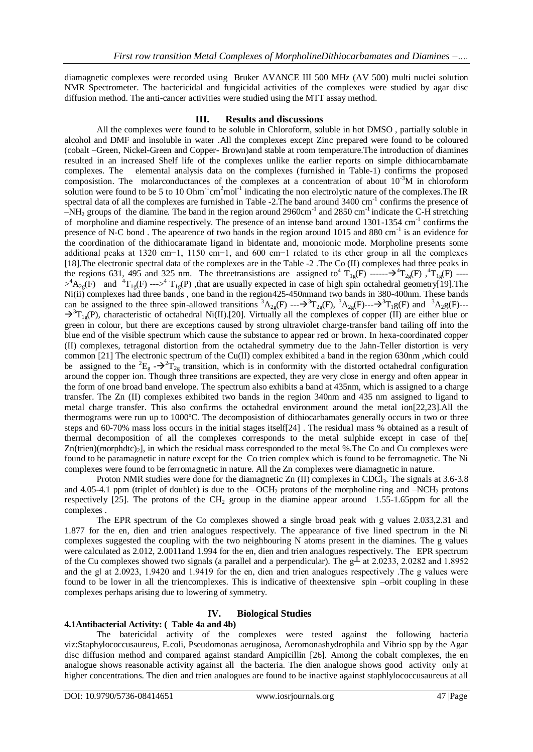diamagnetic complexes were recorded using Bruker AVANCE III 500 MHz (AV 500) multi nuclei solution NMR Spectrometer. The bactericidal and fungicidal activities of the complexes were studied by agar disc diffusion method. The anti-cancer activities were studied using the MTT assay method.

### **III. Results and discussions**

All the complexes were found to be soluble in Chloroform, soluble in hot DMSO , partially soluble in alcohol and DMF and insoluble in water .All the complexes except Zinc prepared were found to be coloured (cobalt –Green, Nickel-Green and Copper- Brown)and stable at room temperature.The introduction of diamines resulted in an increased Shelf life of the complexes unlike the earlier reports on simple dithiocarnbamate complexes. The elemental analysis data on the complexes (furnished in Table-1) confirms the proposed composistion. The molarconductances of the complexes at a concentration of about  $10^{-3}M$  in chloroform solution were found to be 5 to 10 Ohm<sup>-1</sup>cm<sup>2</sup>mol<sup>-1</sup> indicating the non electrolytic nature of the complexes. The IR spectral data of all the complexes are furnished in Table -2. The band around 3400 cm<sup>-1</sup> confirms the presence of  $-NH<sub>2</sub>$  groups of the diamine. The band in the region around 2960cm<sup>-1</sup> and 2850 cm<sup>-1</sup> indicate the C-H stretching of morpholine and diamine respectively. The presence of an intense band around 1301-1354 cm<sup>-1</sup> confirms the presence of N-C bond. The apearence of two bands in the region around 1015 and 880 cm<sup>-1</sup> is an evidence for the coordination of the dithiocaramate ligand in bidentate and, monoionic mode. Morpholine presents some additional peaks at 1320 cm−1, 1150 cm−1, and 600 cm−1 related to its ether group in all the complexes [18].The electronic spectral data of the complexes are in the Table -2 .The Co (II) complexes had three peaks in the regions 631, 495 and 325 nm. The threetransistions are assigned to  $T_{1g}(F)$  ------ $\rightarrow$   $T_{2g}(F)$ ,  $T_{1g}(F)$  ---- $>^4A_{2g}(F)$  and  ${}^{4}T_{1g}(F) \longrightarrow {}^{4}T_{1g}(P)$ , that are usually expected in case of high spin octahedral geometry[19]. The Ni(ii) complexes had three bands , one band in the region425-450nmand two bands in 380-400nm. These bands can be assigned to the three spin-allowed transitions  ${}^3A_{2g}(F) \cdots \rightarrow {}^3T_{2g}(F)$ ,  ${}^3A_{2g}(F) \cdots \rightarrow {}^3T_1g(F)$  and  ${}^3A_{2g}(F) \cdots$  $\rightarrow$ <sup>3</sup>T<sub>1g</sub>(P), characteristic of octahedral Ni(II).[20]. Virtually all the complexes of copper (II) are either blue or green in colour, but there are exceptions caused by strong ultraviolet charge-transfer band tailing off into the blue end of the visible spectrum which cause the substance to appear red or brown. In hexa-coordinated copper (II) complexes, tetragonal distortion from the octahedral symmetry due to the Jahn-Teller distortion is very common [21] The electronic spectrum of the Cu(II) complex exhibited a band in the region 630nm ,which could be assigned to the <sup>2</sup>E<sub>g</sub> - $\rightarrow$ <sup>2</sup>T<sub>2g</sub> transition, which is in conformity with the distorted octahedral configuration around the copper ion. Though three transitions are expected, they are very close in energy and often appear in the form of one broad band envelope. The spectrum also exhibits a band at 435nm, which is assigned to a charge transfer. The Zn (II) complexes exhibited two bands in the region 340nm and 435 nm assigned to ligand to metal charge transfer. This also confirms the octahedral environment around the metal ion[22,23].All the thermograms were run up to 1000ºC. The decomposistion of dithiocarbamates generally occurs in two or three steps and 60-70% mass loss occurs in the initial stages itself[24] . The residual mass % obtained as a result of thermal decomposition of all the complexes corresponds to the metal sulphide except in case of the[  $Zn(trien)(morphdtc)_2$ , in which the residual mass corresponded to the metal %. The Co and Cu complexes were found to be paramagnetic in nature except for the Co trien complex which is found to be ferromagnetic. The Ni complexes were found to be ferromagnetic in nature. All the Zn complexes were diamagnetic in nature.

Proton NMR studies were done for the diamagnetic Zn (II) complexes in CDCl<sub>3</sub>. The signals at 3.6-3.8 and 4.05-4.1 ppm (triplet of doublet) is due to the  $-OCH_2$  protons of the morpholine ring and  $-NCH_2$  protons respectively  $[25]$ . The protons of the CH<sub>2</sub> group in the diamine appear around 1.55-1.65ppm for all the complexes .

The EPR spectrum of the Co complexes showed a single broad peak with g values 2.033,2.31 and 1.877 for the en, dien and trien analogues respectively. The appearance of five lined spectrum in the Ni complexes suggested the coupling with the two neighbouring N atoms present in the diamines. The g values were calculated as 2.012, 2.0011and 1.994 for the en, dien and trien analogues respectively. The EPR spectrum of the Cu complexes showed two signals (a parallel and a perpendicular). The  $g\perp$  at 2.0233, 2.0282 and 1.8952 and the g‖ at 2.0923, 1.9420 and 1.9419 for the en, dien and trien analogues respectively .The g values were found to be lower in all the triencomplexes. This is indicative of theextensive spin –orbit coupling in these complexes perhaps arising due to lowering of symmetry.

# **IV. Biological Studies**

### **4.1Antibacterial Activity: ( Table 4a and 4b)**

The batericidal activity of the complexes were tested against the following bacteria viz:Staphylococcusaureus, E.coli, Pseudomonas aeruginosa, Aeromonashydrophila and Vibrio spp by the Agar disc diffusion method and compared against standard Ampicillin [26]. Among the cobalt complexes, the en analogue shows reasonable activity against all the bacteria. The dien analogue shows good activity only at higher concentrations. The dien and trien analogues are found to be inactive against staphlylococcusaureus at all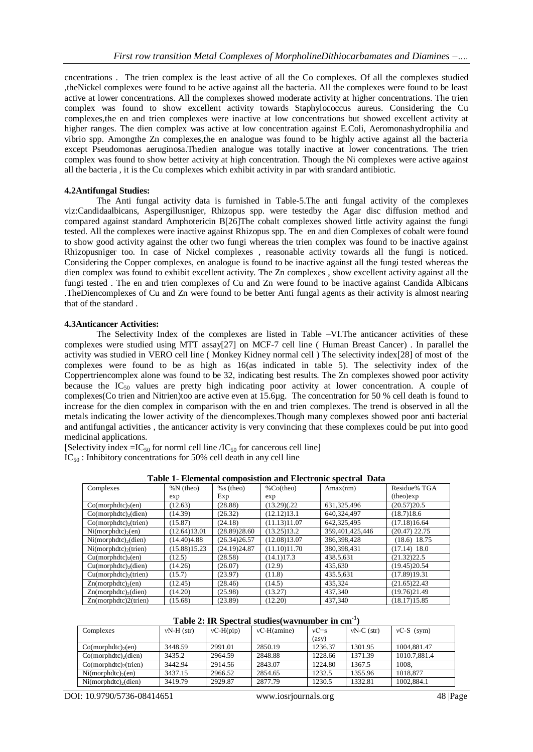cncentrations . The trien complex is the least active of all the Co complexes. Of all the complexes studied ,theNickel complexes were found to be active against all the bacteria. All the complexes were found to be least active at lower concentrations. All the complexes showed moderate activity at higher concentrations. The trien complex was found to show excellent activity towards Staphylococcus aureus. Considering the Cu complexes,the en and trien complexes were inactive at low concentrations but showed excellent activity at higher ranges. The dien complex was active at low concentration against E.Coli, Aeromonashydrophilia and vibrio spp. Amongthe Zn complexes,the en analogue was found to be highly active against all the bacteria except Pseudomonas aeruginosa.Thedien analogue was totally inactive at lower concentrations. The trien complex was found to show better activity at high concentration. Though the Ni complexes were active against all the bacteria , it is the Cu complexes which exhibit activity in par with srandard antibiotic.

#### **4.2Antifungal Studies:**

The Anti fungal activity data is furnished in Table-5.The anti fungal activity of the complexes viz:Candidaalbicans, Aspergillusniger, Rhizopus spp. were testedby the Agar disc diffusion method and compared against standard Amphotericin B[26]The cobalt complexes showed little activity against the fungi tested. All the complexes were inactive against Rhizopus spp. The en and dien Complexes of cobalt were found to show good activity against the other two fungi whereas the trien complex was found to be inactive against Rhizopusniger too. In case of Nickel complexes , reasonable activity towards all the fungi is noticed. Considering the Copper complexes, en analogue is found to be inactive against all the fungi tested whereas the dien complex was found to exhibit excellent activity. The Zn complexes , show excellent activity against all the fungi tested . The en and trien complexes of Cu and Zn were found to be inactive against Candida Albicans .TheDiencomplexes of Cu and Zn were found to be better Anti fungal agents as their activity is almost nearing that of the standard .

#### **4.3Anticancer Activities:**

The Selectivity Index of the complexes are listed in Table –VI.The anticancer activities of these complexes were studied using MTT assay[27] on MCF-7 cell line ( Human Breast Cancer) . In parallel the activity was studied in VERO cell line ( Monkey Kidney normal cell ) The selectivity index[28] of most of the complexes were found to be as high as 16(as indicated in table 5). The selectivity index of the Coppertriencomplex alone was found to be 32, indicating best results. The Zn complexes showed poor activity because the  $IC_{50}$  values are pretty high indicating poor activity at lower concentration. A couple of complexes(Co trien and Nitrien)too are active even at 15.6µg. The concentration for 50 % cell death is found to increase for the dien complex in comparison with the en and trien complexes. The trend is observed in all the metals indicating the lower activity of the diencomplexes.Though many complexes showed poor anti bacterial and antifungal activities , the anticancer activity is very convincing that these complexes could be put into good medicinal applications.

[Selectivity index = $IC_{50}$  for norml cell line / $IC_{50}$  for cancerous cell line]

 $IC_{50}$ : Inhibitory concentrations for 50% cell death in any cell line

| Complexes                           | $%N$ (theo)  | $%s$ (theo)  | %Co(theo)    | $\text{Amax}(nm)$ | Residue% TGA    |
|-------------------------------------|--------------|--------------|--------------|-------------------|-----------------|
|                                     | exp          | Exp          | exp          |                   | (theo)exp       |
| $Co(morphdtc)_{2}(en)$              | (12.63)      | (28.88)      | (13.29)(.22) | 631, 325, 496     | (20.57)20.5     |
| $Co(morph dtc)_{2}(dien)$           | (14.39)      | (26.32)      | (12.12)13.1  | 640,324,497       | (18.7)18.6      |
| $Co(morph dtc)_{2}(train)$          | (15.87)      | (24.18)      | (11.13)11.07 | 642.325.495       | (17.18)16.64    |
| $Ni(morphdtc)_{2}(en)$              | (12.64)13.01 | (28.89)28.60 | (13.25)13.2  | 359,401,425,446   | $(20.47)$ 22.75 |
| $Ni(morphdtc)$ <sub>2</sub> (dien)  | (14.40)4.88  | (26.34)26.57 | (12.08)13.07 | 386,398,428       | $(18.6)$ 18.75  |
| $Ni(morphdtc)$ <sub>2</sub> (trien) | (15.88)15.23 | (24.19)24.87 | (11.10)11.70 | 380, 398, 431     | $(17.14)$ 18.0  |
| Cu(morphdtc) <sub>2</sub> (en)      | (12.5)       | (28.58)      | (14.1)17.3   | 438.5,631         | (21.32)22.5     |
| $Cu(morphdtc)_{2}$ (dien)           | (14.26)      | (26.07)      | (12.9)       | 435,630           | (19.45)20.54    |
| $Cu(morphdtc)$ <sub>2</sub> (trien) | (15.7)       | (23.97)      | (11.8)       | 435.5,631         | (17.89)19.31    |
| Zn(morphdtc) <sub>2</sub> (en)      | (12.45)      | (28.46)      | (14.5)       | 435.324           | (21.65)22.43    |
| $Zn(morphdtc)$ <sub>2</sub> (dien)  | (14.20)      | (25.98)      | (13.27)      | 437,340           | (19.76)21.49    |
| Zn(morphdtc)2(trien)                | (15.68)      | (23.89)      | (12.20)      | 437.340           | (18.17)15.85    |

**Table 1- Elemental composistion and Electronic spectral Data**

## **Table 2: IR Spectral studies(wavnumber in cm-1 )**

| Complexes                           | $vN-H$ (str) | $vC-H(pip)$ | $vC-H(amine)$ | $vC = s$ | $vN-C$ (str) | $vC-S$ (sym) |
|-------------------------------------|--------------|-------------|---------------|----------|--------------|--------------|
|                                     |              |             |               | (asy)    |              |              |
| $Co(morphdtc)_{2}(en)$              | 3448.59      | 2991.01     | 2850.19       | 1236.37  | 1301.95      | 1004.881.47  |
| $Co(morph dtc)$ <sub>2</sub> (dien) | 3435.2       | 2964.59     | 2848.88       | 1228.66  | 1371.39      | 1010.7.881.4 |
| $Co(morph dtc)_{2}(trien)$          | 3442.94      | 2914.56     | 2843.07       | 1224.80  | 1367.5       | 1008.        |
| $Ni(morphdtc)_{2}(en)$              | 3437.15      | 2966.52     | 2854.65       | 1232.5   | 1355.96      | 1018.877     |
| $Ni(morphdtc)_{2}$ (dien)           | 3419.79      | 2929.87     | 2877.79       | 1230.5   | 1332.81      | 1002.884.1   |

DOI: 10.9790/5736-08414651 www.iosrjournals.org 48 |Page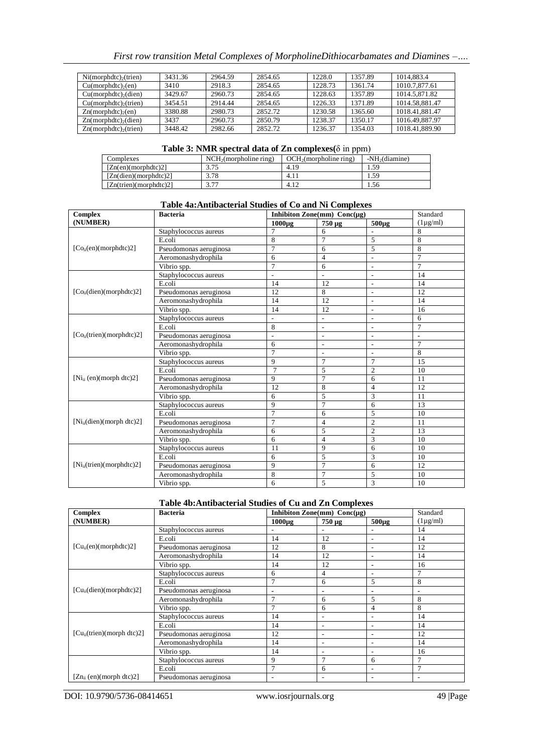| First row transition Metal Complexes of MorpholineDithiocarbamates and Diamines – |  |  |
|-----------------------------------------------------------------------------------|--|--|
|                                                                                   |  |  |

| $Ni(morphdtc)_{2}($ trien)           | 3431.36 | 2964.59 | 2854.65 | 1228.0  | 1357.89 | 1014.883.4     |
|--------------------------------------|---------|---------|---------|---------|---------|----------------|
| $Cu(morphdtc)_{2}(en)$               | 3410    | 2918.3  | 2854.65 | 1228.73 | 1361.74 | 1010.7.877.61  |
| $Cu(morphdtc)_{2}$ (dien)            | 3429.67 | 2960.73 | 2854.65 | 1228.63 | 1357.89 | 1014.5.871.82  |
| $Cu(morphdtc)$ <sub>2</sub> (trien)  | 3454.51 | 2914.44 | 2854.65 | 1226.33 | 1371.89 | 1014.58.881.47 |
| $Zn(morphdtc)$ <sub>2</sub> (en)     | 3380.88 | 2980.73 | 2852.72 | 1230.58 | 1365.60 | 1018.41.881.47 |
| $Zn(morph dtc)$ <sub>2</sub> (dien)  | 3437    | 2960.73 | 2850.79 | 1238.37 | 1350.17 | 1016.49.887.97 |
| $Zn(morph dtc)$ <sub>2</sub> (trien) | 3448.42 | 2982.66 | 2852.72 | 1236.37 | 1354.03 | 1018.41.889.90 |
|                                      |         |         |         |         |         |                |

#### **Table 3: NMR spectral data of Zn complexes(**δ in ppm)

| Complexes              | NCH <sub>2</sub> (morpholine ring) | OCH <sub>2</sub> (morpholine ring) | $-NH2(diamine)$ |
|------------------------|------------------------------------|------------------------------------|-----------------|
| $[Zn(en)$ (morphdtc)2] | 3.75                               | 4.19                               | . .59           |
| [Zn(dien)(morphdtc)2]  | 3.78                               | 4.11                               | . . 59          |
| [Zn(trien)(morphdtc)2] | 3 77                               | 4.12                               | . 56            |

## **Table 4a:Antibacterial Studies of Co and Ni Complexes**

| <b>Complex</b>                     | <b>Bacteria</b>        | Inhibiton Zone(mm) $Conc(\mu g)$ |                          | Standard       |                |
|------------------------------------|------------------------|----------------------------------|--------------------------|----------------|----------------|
| (NUMBER)                           |                        | $1000\mu g$                      | 750 µg                   | $500\mu g$     | $(1\mu g/ml)$  |
|                                    | Staphylococcus aureus  | 7                                | 6                        |                | 8              |
|                                    | E.coli                 | 8                                | 7                        | 5              | 8              |
| [Co <sub>ii</sub> (en)(morphdtc)2] | Pseudomonas aeruginosa | $\overline{7}$                   | 6                        | 5              | 8              |
|                                    | Aeromonashydrophila    | 6                                | $\overline{4}$           | L,             | 7              |
|                                    | Vibrio spp.            | $\overline{7}$                   | 6                        | $\overline{a}$ | $\overline{7}$ |
|                                    | Staphylococcus aureus  | $\overline{a}$                   | $\overline{\phantom{m}}$ | $\overline{a}$ | 14             |
|                                    | E.coli                 | 14                               | 12                       | $\overline{a}$ | 14             |
| $[Co_{ii}(dien)(morphdtc)2]$       | Pseudomonas aeruginosa | 12                               | 8                        | $\overline{a}$ | 12             |
|                                    | Aeromonashydrophila    | 14                               | 12                       | $\overline{a}$ | 14             |
|                                    | Vibrio spp.            | 14                               | 12                       | L,             | 16             |
|                                    | Staphylococcus aureus  | L,                               | $\overline{a}$           | L.             | 6              |
|                                    | E.coli                 | 8                                | $\overline{\phantom{a}}$ | $\overline{a}$ | 7              |
| $[Co_{ii}(trien)(morphdtc)2]$      | Pseudomonas aeruginosa | $\qquad \qquad \blacksquare$     | $\overline{a}$           | $\overline{a}$ | $\blacksquare$ |
|                                    | Aeromonashydrophila    | 6                                | $\overline{a}$           | L,             | 7              |
|                                    | Vibrio spp.            | $\overline{7}$                   | $\overline{a}$           | $\overline{a}$ | 8              |
|                                    | Staphylococcus aureus  | 9                                | 7                        | $\overline{7}$ | 15             |
|                                    | E.coli                 | 7                                | 5                        | $\overline{2}$ | 10             |
| $[Ni_{ii} (en)(morph dtc)2]$       | Pseudomonas aeruginosa | 9                                | $\overline{7}$           | 6              | 11             |
|                                    | Aeromonashydrophila    | 12                               | 8                        | $\overline{4}$ | 12             |
|                                    | Vibrio spp.            | 6                                | 5                        | 3              | 11             |
|                                    | Staphylococcus aureus  | 9                                | $\overline{7}$           | 6              | 13             |
|                                    | E.coli                 | $\overline{7}$                   | 6                        | 5              | 10             |
| $[Ni_{ii}$ (dien)(morph dtc)2]     | Pseudomonas aeruginosa | $\overline{7}$                   | $\overline{4}$           | $\overline{2}$ | 11             |
|                                    | Aeromonashydrophila    | 6                                | 5                        | $\overline{2}$ | 13             |
|                                    | Vibrio spp.            | 6                                | $\overline{4}$           | 3              | 10             |
|                                    | Staphylococcus aureus  | 11                               | 9                        | 6              | 10             |
|                                    | E.coli                 | 6                                | 5                        | 3              | 10             |
| $[Ni_{ii}(trien)(morphdtc)2]$      | Pseudomonas aeruginosa | 9                                | $\overline{7}$           | 6              | 12             |
|                                    | Aeromonashydrophila    | 8                                | 7                        | 5              | 10             |
|                                    | Vibrio spp.            | 6                                | 5                        | 3              | 10             |

## **Table 4b:Antibacterial Studies of Cu and Zn Complexes**

| Complex                        | <b>Bacteria</b>        |                          | Inhibiton Zone(mm) $Conc(\mu g)$ |                          |               |
|--------------------------------|------------------------|--------------------------|----------------------------------|--------------------------|---------------|
| (NUMBER)                       |                        | $1000\mu$ g              | $750 \mu g$                      | $500\mu g$               | $(1\mu g/ml)$ |
|                                | Staphylococcus aureus  |                          |                                  |                          | 14            |
|                                | E.coli                 | 14                       | 12                               |                          | 14            |
| $[Cu_{ii}(en)(morphdtc)2]$     | Pseudomonas aeruginosa | 12                       | 8                                | $\overline{\phantom{a}}$ | 12            |
|                                | Aeromonashydrophila    | 14                       | 12                               |                          | 14            |
|                                | Vibrio spp.            | 14                       | 12                               | ٠                        | 16            |
|                                | Staphylococcus aureus  | 6                        | 4                                | $\overline{a}$           | 7             |
|                                | E.coli                 | $\overline{7}$           | 6                                | 5                        | 8             |
| $[Cu_{ii}$ (dien)(morphdtc)2]  | Pseudomonas aeruginosa | $\overline{\phantom{a}}$ | ٠                                |                          |               |
|                                | Aeromonashydrophila    | 7                        | 6                                | 5                        | 8             |
|                                | Vibrio spp.            | 7                        | 6                                | $\overline{4}$           | 8             |
|                                | Staphylococcus aureus  | 14                       | ۰                                |                          | 14            |
|                                | E.coli                 | 14                       | ۰                                | $\overline{a}$           | 14            |
| $[Cu_{ii}(trien)(morph dtc)2]$ | Pseudomonas aeruginosa | 12                       | ۰                                | $\overline{\phantom{a}}$ | 12            |
|                                | Aeromonashydrophila    | 14                       | ۰                                | $\overline{\phantom{a}}$ | 14            |
|                                | Vibrio spp.            | 14                       | ۰                                |                          | 16            |
|                                | Staphylococcus aureus  | 9                        | 7                                | 6                        | 7             |
|                                | E.coli                 | 7                        | 6                                | $\overline{\phantom{a}}$ | 7             |
| $[Zn_{ii} (en)(morph dtc)2]$   | Pseudomonas aeruginosa | $\overline{\phantom{a}}$ |                                  |                          |               |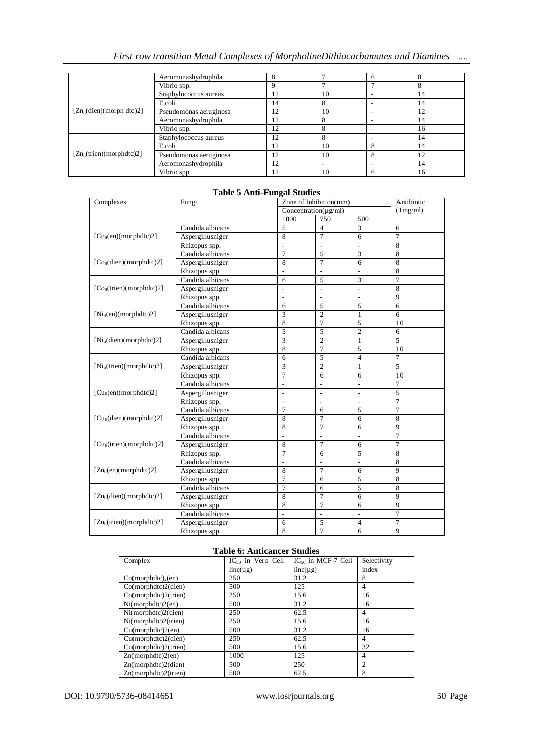# *First row transition Metal Complexes of MorpholineDithiocarbamates and Diamines –….*

|                                | Aeromonashydrophila    | 8  |    | 6 | 8  |
|--------------------------------|------------------------|----|----|---|----|
|                                | Vibrio spp.            | 9  |    |   | 8  |
|                                | Staphylococcus aureus  | 12 | 10 |   | 14 |
|                                | E.coli                 | 14 | 8  |   | 14 |
| $[Zn_{ii}$ (dien)(morph dtc)2] | Pseudomonas aeruginosa | 12 | 10 | - | 12 |
|                                | Aeromonashydrophila    | 12 | 8  |   | 14 |
|                                | Vibrio spp.            | 12 | 8  |   | 16 |
| $[Zn_{ii}(trien)(morphdtc)2]$  | Staphylococcus aureus  | 12 | 8  |   | 14 |
|                                | E.coli                 | 12 | 10 | 8 | 14 |
|                                | Pseudomonas aeruginosa | 12 | 10 | 8 | 12 |
|                                | Aeromonashydrophila    | 12 |    |   | 14 |
|                                | Vibrio spp.            | 12 | 10 | 6 | 16 |

### **Table 5 Anti-Fungal Studies**

| Complexes                             | Fungi            |                              | Zone of Inhibition(mm)     |                          |                |  |
|---------------------------------------|------------------|------------------------------|----------------------------|--------------------------|----------------|--|
|                                       |                  |                              | Concentration( $\mu$ g/ml) |                          |                |  |
|                                       |                  | 1000                         | 750                        | 500                      |                |  |
|                                       | Candida albicans | 5                            | $\overline{\mathbf{4}}$    | 3                        | 6              |  |
| [Co <sub>ii</sub> (en)(morphdtc)2]    | Aspergillusniger | 8                            | $\overline{7}$             | 6                        | $\overline{7}$ |  |
|                                       | Rhizopus spp.    |                              |                            |                          | 8              |  |
|                                       | Candida albicans | $\overline{7}$               | 5                          | 3                        | 8              |  |
| $[Co_{ii}(dien)(morphdtc)2]$          | Aspergillusniger | 8                            | 7                          | 6                        | 8              |  |
|                                       | Rhizopus spp.    | $\overline{\phantom{a}}$     | $\overline{\phantom{a}}$   | ÷,                       | 8              |  |
|                                       | Candida albicans | 6                            | 5                          | 3                        | 7              |  |
| [Co <sub>ii</sub> (trien)(morphdtc)2] | Aspergillusniger | $\overline{\phantom{a}}$     | $\overline{a}$             | L,                       | 8              |  |
|                                       | Rhizopus spp.    | $\qquad \qquad \blacksquare$ | $\overline{a}$             | $\overline{a}$           | 9              |  |
|                                       | Candida albicans | 6                            | 5                          | 5                        | 6              |  |
| $[Ni_{ii}(en)(morphdtc)2]$            | Aspergillusniger | 3                            | $\overline{2}$             | 1                        | 6              |  |
|                                       | Rhizopus spp.    | 8                            | $\overline{7}$             | 5                        | 10             |  |
|                                       | Candida albicans | $\overline{5}$               | 5                          | $\overline{2}$           | 6              |  |
| $[Ni_{ii}(dien)(morphdtc)2]$          | Aspergillusniger | 3                            | $\overline{2}$             | $\mathbf{1}$             | 5              |  |
|                                       | Rhizopus spp.    | 8                            | 7                          | 5                        | 10             |  |
|                                       | Candida albicans | 6                            | 5                          | $\overline{\mathcal{L}}$ | 7              |  |
| [Ni <sub>ii</sub> (trien)(morphdtc)2] | Aspergillusniger | 3                            | $\overline{2}$             | $\mathbf{1}$             | 5              |  |
|                                       | Rhizopus spp.    | 7                            | 6                          | 6                        | 10             |  |
|                                       | Candida albicans | ÷,                           | $\overline{a}$             | ÷,                       | 7              |  |
| $[Cu_{ii}(en)(morphdtc)2]$            | Aspergillusniger | $\blacksquare$               | $\blacksquare$             | L,                       | 5              |  |
|                                       | Rhizopus spp.    | $\qquad \qquad -$            | $\overline{\phantom{0}}$   | $\overline{\phantom{0}}$ | 7              |  |
|                                       | Candida albicans | 7                            | 6                          | 5                        | 7              |  |
| $[Cu_{ii}(dien)(morphdtc)2]$          | Aspergillusniger | 8                            | 7                          | 6                        | 8              |  |
|                                       | Rhizopus spp.    | 8                            | 7                          | 6                        | 9              |  |
|                                       | Candida albicans | $\overline{a}$               | $\overline{a}$             |                          | $\overline{7}$ |  |
| [Cu <sub>ii</sub> (trien)(morphdtc)2] | Aspergillusniger | 8                            | 7                          | 6                        | 7              |  |
|                                       | Rhizopus spp.    | $\overline{7}$               | 6                          | 5                        | 8              |  |
|                                       | Candida albicans | $\overline{a}$               | $\overline{a}$             | $\overline{a}$           | 8              |  |
| $[Zn_{ii}(en)(morphdtc)2]$            | Aspergillusniger | 8                            | 7                          | 6                        | 9              |  |
|                                       | Rhizopus spp.    | 7                            | 6                          | 5                        | 8              |  |
|                                       | Candida albicans | 7                            | 6                          | 5                        | 8              |  |
| $[Zn_{ii}(dien)(morphdtc)2]$          | Aspergillusniger | 8                            | 7                          | 6                        | 9              |  |
|                                       | Rhizopus spp.    | 8                            | 7                          | 6                        | 9              |  |
|                                       | Candida albicans | $\overline{a}$               | $\overline{a}$             |                          | 7              |  |
| $[Zn_{ii}(trien)(morphdtc)2]$         | Aspergillusniger | 6                            | 5                          | $\overline{4}$           | $\overline{7}$ |  |
|                                       | Rhizopus spp.    | 8                            | $\overline{7}$             | 6                        | 9              |  |

#### **Table 6: Anticancer Studies**

| Complex                  | $IC_{50}$ in Vero Cell | $IC_{50}$ in MCF-7 Cell | Selectivity |
|--------------------------|------------------------|-------------------------|-------------|
|                          | $line(\mu g)$          | $line(\mu g)$           | index       |
| $Co(morphdtc)_{2}(en)$   | 250                    | 31.2                    | 8           |
| Co(morphdtc)2(dien)      | 500                    | 125                     | 4           |
| $Co(morph dtc)2$ (trien) | 250                    | 15.6                    | 16          |
| Ni(morph dtc)2(en)       | 500                    | 31.2                    | 16          |
| Ni(morph dtc)2(dien)     | 250                    | 62.5                    | 4           |
| Ni(morphdtc)2(trien)     | 250                    | 15.6                    | 16          |
| Cu(morphdtc)2(en)        | 500                    | 31.2                    | 16          |
| Cu(morphdtc)2(dien)      | 250                    | 62.5                    | 4           |
| Cu(morphdtc)2(trien)     | 500                    | 15.6                    | 32          |
| Zn(morphdtc)2(en)        | 1000                   | 125                     | 4           |
| Zn(morphdtc)2(dien)      | 500                    | 250                     | 2           |
| Zn(morphdtc)2(trien)     | 500                    | 62.5                    | 8           |